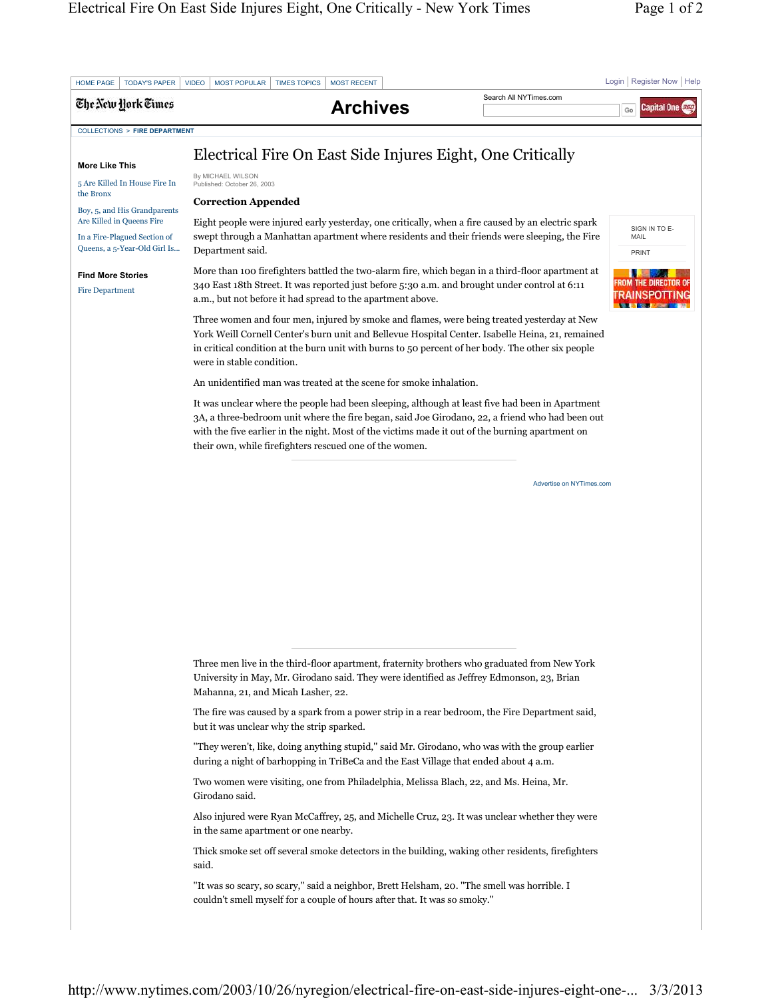|                                                                                                         | <b>MOST POPULAR</b><br><b>TIMES TOPICS</b><br><b>MOST RECENT</b><br><b>VIDEO</b>                                                                                                                                             |                 | Search All NYTimes.com                                                                                                                                                                             | Login   Register Now   Help   |
|---------------------------------------------------------------------------------------------------------|------------------------------------------------------------------------------------------------------------------------------------------------------------------------------------------------------------------------------|-----------------|----------------------------------------------------------------------------------------------------------------------------------------------------------------------------------------------------|-------------------------------|
| The New York Times                                                                                      |                                                                                                                                                                                                                              | <b>Archives</b> |                                                                                                                                                                                                    | Capital One <b>C</b> ap<br>Go |
| <b>COLLECTIONS &gt; FIRE DEPARTMENT</b>                                                                 |                                                                                                                                                                                                                              |                 |                                                                                                                                                                                                    |                               |
|                                                                                                         | Electrical Fire On East Side Injures Eight, One Critically                                                                                                                                                                   |                 |                                                                                                                                                                                                    |                               |
| <b>More Like This</b>                                                                                   | By MICHAEL WILSON                                                                                                                                                                                                            |                 |                                                                                                                                                                                                    |                               |
| 5 Are Killed In House Fire In<br>the Bronx<br>Boy, 5, and His Grandparents<br>Are Killed in Queens Fire | Published: October 26, 2003<br><b>Correction Appended</b>                                                                                                                                                                    |                 |                                                                                                                                                                                                    |                               |
|                                                                                                         | Eight people were injured early yesterday, one critically, when a fire caused by an electric spark                                                                                                                           |                 |                                                                                                                                                                                                    |                               |
| In a Fire-Plagued Section of<br>Queens, a 5-Year-Old Girl Is                                            | SIGN IN TO E-<br>swept through a Manhattan apartment where residents and their friends were sleeping, the Fire<br>MAIL<br>Department said.<br>PRINT                                                                          |                 |                                                                                                                                                                                                    |                               |
| <b>Find More Stories</b><br><b>Fire Department</b>                                                      | 340 East 18th Street. It was reported just before 5:30 a.m. and brought under control at 6:11<br>a.m., but not before it had spread to the apartment above.                                                                  |                 | More than 100 firefighters battled the two-alarm fire, which began in a third-floor apartment at                                                                                                   |                               |
|                                                                                                         | Three women and four men, injured by smoke and flames, were being treated yesterday at New<br>in critical condition at the burn unit with burns to 50 percent of her body. The other six people<br>were in stable condition. |                 | York Weill Cornell Center's burn unit and Bellevue Hospital Center. Isabelle Heina, 21, remained                                                                                                   |                               |
|                                                                                                         | An unidentified man was treated at the scene for smoke inhalation.                                                                                                                                                           |                 |                                                                                                                                                                                                    |                               |
|                                                                                                         | with the five earlier in the night. Most of the victims made it out of the burning apartment on<br>their own, while firefighters rescued one of the women.                                                                   |                 | It was unclear where the people had been sleeping, although at least five had been in Apartment<br>3A, a three-bedroom unit where the fire began, said Joe Girodano, 22, a friend who had been out |                               |
|                                                                                                         |                                                                                                                                                                                                                              |                 | Advertise on NYTimes.com                                                                                                                                                                           |                               |
|                                                                                                         |                                                                                                                                                                                                                              |                 |                                                                                                                                                                                                    |                               |
|                                                                                                         | Three men live in the third-floor apartment, fraternity brothers who graduated from New York                                                                                                                                 |                 |                                                                                                                                                                                                    |                               |
|                                                                                                         | University in May, Mr. Girodano said. They were identified as Jeffrey Edmonson, 23, Brian<br>Mahanna, 21, and Micah Lasher, 22.                                                                                              |                 |                                                                                                                                                                                                    |                               |
|                                                                                                         | The fire was caused by a spark from a power strip in a rear bedroom, the Fire Department said,<br>but it was unclear why the strip sparked.                                                                                  |                 |                                                                                                                                                                                                    |                               |
|                                                                                                         | "They weren't, like, doing anything stupid," said Mr. Girodano, who was with the group earlier<br>during a night of barhopping in TriBeCa and the East Village that ended about 4 a.m.                                       |                 |                                                                                                                                                                                                    |                               |
|                                                                                                         | Two women were visiting, one from Philadelphia, Melissa Blach, 22, and Ms. Heina, Mr.<br>Girodano said.                                                                                                                      |                 |                                                                                                                                                                                                    |                               |
|                                                                                                         | Also injured were Ryan McCaffrey, 25, and Michelle Cruz, 23. It was unclear whether they were<br>in the same apartment or one nearby.                                                                                        |                 |                                                                                                                                                                                                    |                               |
|                                                                                                         | Thick smoke set off several smoke detectors in the building, waking other residents, firefighters<br>said.                                                                                                                   |                 |                                                                                                                                                                                                    |                               |